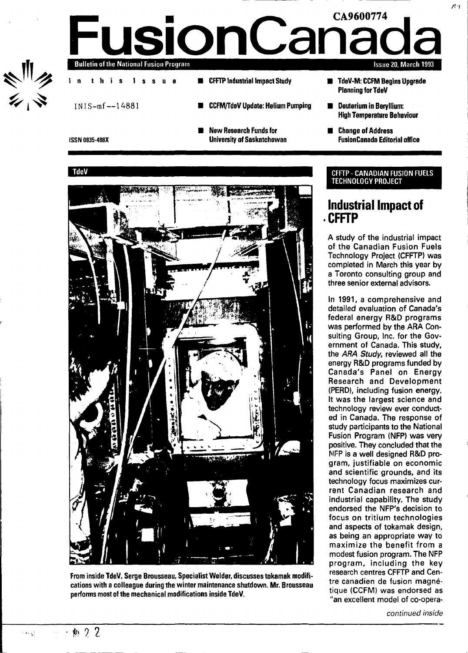

# **FusionCanad Bulletin of the National Fusion Program I n thi s Issu e ED** CFFTP Industrial Impact Study **Issue 20, March 1993**

INIS-mf—14881 **CCFM/TdeV Update: Helium Pumping New Research Funds for ISSN 0835-488X University of Saskatchewan TdeV** 

**CFFTP**



**From inside TdeV, Serge Brousseau, Specialist Welder, discusses tokamak modifications with a colleague during the winter maintenance shutdown. Mr. Brousseau performs most of the mechanical modifications inside TdeV.**

- 鮎 9 2

 $\sim 60~\mathrm{M}_\odot^2$ 

### **TdeV-M: CCFM Begins Upgrade Planning for TdeV**

- **B** Deuterium in Beryllium: **High Temperature Behaviour**
- **Change of Address FusionCanada Editorial office**

### **CFFTP - CANADIAN FUSION FUELS TECHNOLOGY PROJECT**

# **Industrial Impact of**

**A study of the industrial impact of the Canadian Fusion Fuels Technology Project (CFFTP) was completed in March this year by a Toronto consulting group and three senior external advisors.**

**In 1991, a comprehensive and detailed evaluation of Canada's federal energy R&D programs was performed by the ARA Consulting Group, Inc. for the Government of Canada. This study, the ARA Study, reviewed all the energy R&D programs funded by Canada's Panel on Energy Research and Development (PERD), including fusion energy. It was the largest science and technology review ever conducted in Canada. The response of study participants to the National Fusion Program (NFP) was very positive. They concluded that the NFP is a well designed R&D program, justifiable on economic and scientific grounds, and its technology focus maximizes current Canadian research and industrial capability. The study endorsed the NFP's decision to focus on tritium technologies and aspects of tokamak design, as being an appropriate way to maximize the benefit from a modest fusion program. The NFP program, including the key research centres CFFTP and Centre canadiens of the canadiense of the canadiense of the case of the case of the case of the case of the case o** tre canadien de fusion magné-**"an excellent model of co-opera-**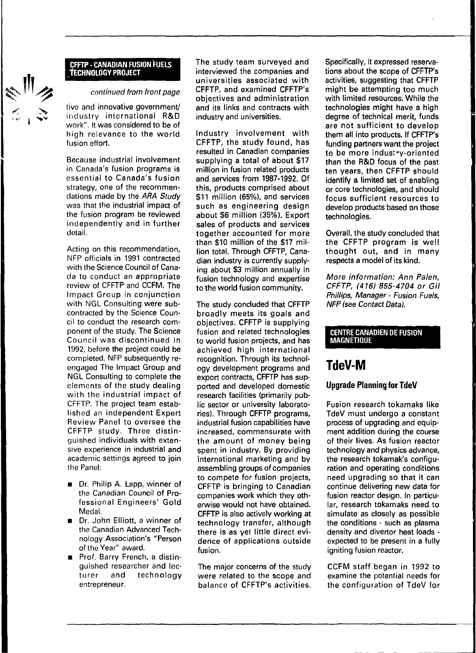### CFFTP • CANADIAN FUSION FUELS **TECHNOLOGY PROJECT**

### continued from front page

tive and innovative government/ industry international R&D work". It was considered to be of high relevance to the world fusion effort.

Because industrial involvement in Canada's fusion programs is essential to Canada's fusion strategy, one of the recommendations made by the ARA Study was that the industrial impact of the fusion program be reviewed independently and in further detail.

Acting on this recommendation, NFP officials in 1991 contracted with the Science Council of Canada to conduct an appropriate review of CFFTP and CCFM. The Impact Group in conjunction with NGL Consulting were subcontracted by the Science Council to conduct the research component of the study. The Science Council was discontinued in 1992, before the project could be completed. NFP subsequently reengaged The Impact Group and NGL Consulting to complete the elements of the study dealing with the industrial impact of CFFTP. The project team established an independent Expert Review Panel to oversee the CFFTP study. Three distinguished individuals with extensive experience in industrial and academic settings agreed to join the Panel:

- **Dr. Philip A. Lapp, winner of** the Canadian Council of Professional Engineers' Gold Medal.
- Dr. John Elliott, a winner of the Canadian Advanced Technology Association's "Person of the Year" award.
- Prof. Barry French, a distinguished researcher and lecturer and technology entrepreneur.

The study team surveyed and interviewed the companies and universities associated with CFFTP, and examined CFFTP's objectives and administration and its links and contracts with industry and universities.

Industry involvement with CFFTP, the study found, has resulted in Canadian companies supplying a total of about \$17 million in fusion related products and services from 1987-1992. Of this, products comprised about \$11 million (65%), and services such as engineering design about \$6 million (35%). Export sales of products and services together accounted for more than \$10 million of the \$17 million total. Through CFFTP, Canadian industry is currently supplying about \$3 million annually in fusion technology and expertise to the world fusion community.

The study concluded that CFFTP broadly meets its goals and objectives. CFFTP is supplying fusion and related technologies to world fusion projects, and has achieved high international recognition. Through its technology development programs and export contracts, CFFTP has supported and developed domestic research facilities (primarily public sector or university laboratories). Through CFFTP programs, industrial fusion capabilities have increased, commensurate with the amount of money being spent in industry. By providing international marketing and by assembling groups of companies to compete for fusion projects, CFFTP is bringing to Canadian companies work which they otherwise would not have obtained. CFFTP is also actively working at technology transfer, although there is as yet little direct evidence of applications outside fusion.

The major concerns of the study were related to the scope and balance of CFFTP's activities. Specifically, it expressed reservations about the scope of CFFTP's activities, suggesting that CFFTP might be attempting too much with limited resources. While the technologies might have a high degree of technical merit, funds are not sufficient to develop them all into products. If CFFTP's funding partners want the project to be more industry-oriented than the R&D focus of the past ten years, then CFFTP should identify a limited set of enabling or core technologies, and should focus sufficient resources to develop products based on those technologies.

Overall, the study concluded that the CFFTP program is well thought out, and in many respects a model of its kind.

More information: Ann Palen, CFFTP, (416) 855-4704 or Gil Phillips, Manager - Fusion Fuels, NFP (see Contact Data).

#### CENTRE CANADIEN DE FUSION MAGNÉTIQUE

# **TdeV-M**

### **Upgrade Planning for TdeV**

Fusion research tokamaks like TdeV must undergo a constant process of upgrading and equipment addition during the course of their lives. As fusion reactor technology and physics advance, the research tokamak's configuration and operating conditions need upgrading so that it can continue delivering new data for fusion reactor design. In particular, research tokamaks need to simulate as closely as possible the conditions - such as plasma density and divertor heat loads expected to be present in a fully igniting fusion reactor.

CCFM staff began in 1992 to examine the potential needs for the configuration of TdeV for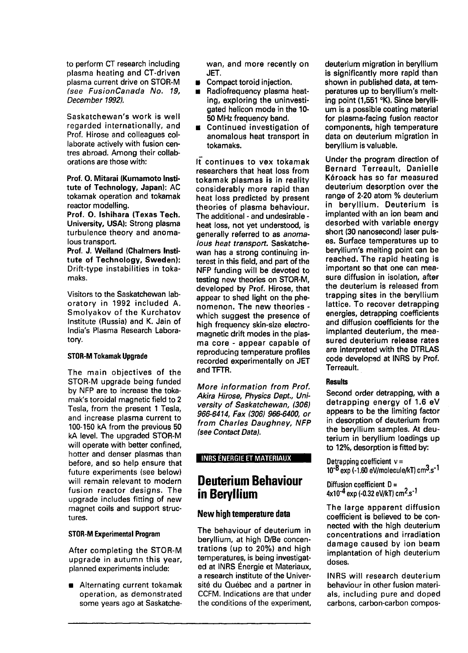to perform CT research including plasma heating and CT-driven plasma current drive on STOR-M (see FusionCanada No. 19, December 1992).

Saskatchewan's work is well regarded internationally, and Prof. Hirose and colleagues collaborate actively with fusion centres abroad. Among their collaborations are those with:

Prof. O. Mitarai (Kumamoto Institute of Technology, Japan): AC tokamak operation and tokamak reactor modelling.

Prof. O. Ishihara (Texas Tech. University, USA): Strong plasma turbulence theory and anomalous transport.

Prof. J. Weiland (Chalmers Institute of Technology, Sweden): Drift-type instabilities in tokamaks.

Visitors to the Saskatchewan laboratory in 1992 included A. Smolyakov of the Kurchatov Institute (Russia) and K. Jain of India's Plasma Research Laboratory.

#### STOR-M Tokamak Upgrade

The main objectives of the STOR-M upgrade being funded by NFP are to increase the tokamak's toroidal magnetic field to 2 Tesla, from the present 1 Tesla, and increase plasma current to 100-150 kA from the previous 50 kA level. The upgraded STOR-M will operate with better confined, hotter and denser plasmas than before, and so help ensure that future experiments (see below) will remain relevant to modern fusion reactor designs. The upgrade includes fitting of new magnet coils and support structures.

### STOR-M Experimental Program

After completing the STOR-M upgrade in autumn this year, planned experiments include:

**Alternating current tokamak** operation, as demonstrated some years ago at Saskatchewan, and more recently on JET.

- **Compact toroid injection.**
- $\blacksquare$  Radiofrequency plasma heating, exploring the uninvestigated helicon mode in the 10- 50 MHz frequency band.
- **E** Continued investigation of anomalous heat transport in tokamaks.

 $I\bar{t}$  continues to vex tokamak researchers that heat loss from tokamak plasmas is in reality considerably more rapid than heat loss predicted by present theories of plasma behaviour. The additional - and undesirable heat loss, not yet understood, is generally referred to as anomalous heat transport. Saskatchewan has a strong continuing interest in this field, and part of the NFP funding will be devoted to testing new theories on STOR-M, developed by Prof. Hirose, that appear to shed light on the phenomenon. The new theories which suggest the presence of high frequency skin-size electromagnetic drift modes in the plasma core - appear capable of reproducing temperature profiles recorded experimentally on JET and TFTR.

More information from Prof. Akira Hirose, Physics Dept, University of Saskatchewan, (306) 966-6414, Fax (306) 966-6400, or from Charles Daughney, NFP (see Contact Data).

### INRS ENERGIE ET MATERIAUX

### **Deuterium Behaviour in Beryllium**

### **New high temperature data**

The behaviour of deuterium in beryllium, at high D/Be concentrations (up to 20%) and high temperatures, is being investigated at INRS Énergie et Materiaux, a research institute of the Université du Québec and a partner in CCFM. Indications are that under the conditions of the experiment, deuterium migration in beryllium is significantly more rapid than shown in published data, at temperatures up to beryllium's melting point (1,551 °K). Since beryllium is a possible coating material for plasma-facing fusion reactor components, high temperature data on deuterium migration in beryllium is valuable.

Under the program direction of Bernard Terreault, Danielle Kéroack has so far measured deuterium desorption over the range of 2-20 atom % deuterium in beryllium. Deuterium is implanted with an ion beam and desorbed with variable energy short (30 nanosecond) laser pulses. Surface temperatures up to beryllium's melting point can be reached. The rapid heating is important so that one can measure diffusion in isolation, after the deuterium is released from trapping sites in the beryllium lattice. To recover detrapping energies, detrapping coefficients and diffusion coefficients for the implanted deuterium, the measured deuterium release rates are interpreted with the DTRLAS code developed at INRS by Prof. Terreault.

### **Results**

Second order detrapping, with a detrapping energy of 1.6 eV appears to be the limiting factor in desorption of deuterium from the beryllium samples. At deuterium in beryllium loadings up to 12%, desorption is fitted by:

Detrapping coefficient  $v =$ 10<sup>-8</sup> exp (-1.60 eV/molecule/kT) cm<sup>3</sup>.s<sup>-1</sup>

Diffusion coefficient  $D =$ 4x10<sup>-4</sup> exp (-0.32 eV/kT) cm<sup>2</sup>.s<sup>-1</sup>

The large apparent diffusion coefficient is believed to be connected with the high deuterium concentrations and irradiation damage caused by ion beam implantation of high deuterium doses.

INRS will research deuterium behaviour in other fusion materials, including pure and doped carbons, carbon-carbon compos-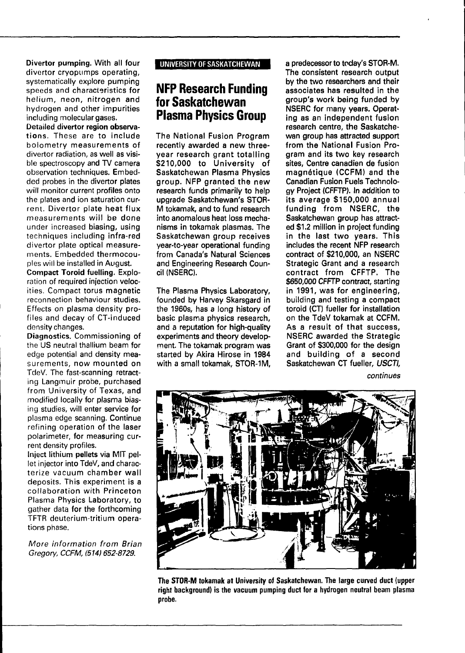**Divertor pumping.** With all four divertor cryopumps operating, systematically explore pumping speeds and characteristics for helium, neon, nitrogen and hydrogen and other impurities including molecular gases.

Detailed **divertor region observations.** These are to include bolometry measurements of divertor radiation, as well as visible spectroscopy and TV camera observation techniques. Embedded probes in the divertor plates will monitor current profiles onto the plates and ion saturation current. Divertor plate heat flux measurements will be done under increased biasing, using techniques including infra-red divertor plate optical measurements. Embedded thermocouples will be installed in August.

**Compact Toroid fuelling.** Exploration of required injection velocities. Compact torus magnetic reconnection behaviour studies. Effects on plasma density profiles and decay of CT-induced density changes.

**Diagnostics.** Commissioning of the US neutral thallium beam for edge potential and density measurements, now mounted on TdeV. The fast-scanning retracting Langmuir probe, purchased from University of Texas, and modified locally for plasma biasing studies, will enter service for plasma edge scanning. Continue refining operation of the laser polarimeter, for measuring current density profiles.

**Inject lithium pellets** via MIT pellet injector into TdeV, and characterize vacuum chamber wall deposits. This experiment is a collaboration with Princeton Plasma Physics Laboratory, to gather data for the forthcoming TFTR deuterium-tritium operations phase.

More information from Brian Gregory, CCFM, (514) 652-8729.

### **UNIVERSITY OF SASKATCHEWAN**

### **NFP Research Funding for Saskatchewan Plasma Physics Group**

The **National Fusion Program recently awarded a new threeyear research grant totalling \$210,000 to University of Saskatchewan Plasma Physics group. NFP granted the new research funds primarily to help upgrade Saskatchewan's STOR-M tokamak, and to fund research into anomalous heat loss mechanisms in tokamak plasmas. The Saskatchewan group receives year-to-year operational funding from Canada's Natural Sciences and Engineering Research Council (NSERC).**

**The Plasma Physics Laboratory, founded by Harvey Skarsgard in** the **1960s, has a long history of basic plasma physics research, and a reputation for high-quality experiments and theory development. The tokamak program was started by Akira Hirose in 1984 with a small tokamak, STOR-1M,**

**a predecessor to today's STOR-M. The consistent research output by the two researchers and their associates has resulted in the group's work being funded by NSERC for many years. Operating as an independent fusion research centre, the Saskatchewan group has attracted support from the National Fusion Program and its two key research sites, Centre canadien de fusion magnétique (CCFM) and the Canadian Fusion Fuels Technology Project (CFFTP). In addition to its average \$150,000 annual funding from NSERC, the Saskatchewan group has attracted \$1.2 million in project funding in the last two years. This includes the recent NFP research contract of \$210,000, an NSERC Strategic Grant and a research contract from CFFTP. The \$650,000 CFFTP contract, starting in 1991, was for engineering, building and testing a compact toroid (CT) fueller for installation on the TdeV tokamak at CCFM. As a result of that success, NSERC awarded the Strategic NSERC** awarded the Strategic Grant of \$300,000 for the design **Saskatchewan CT fueller, USCTI,**

continues



**The STOR-M tokamak at University of Saskatchewan. The large curved duct (upper right background) is the vacuum pumping duct for a hydrogen neutral beam plasma probe.**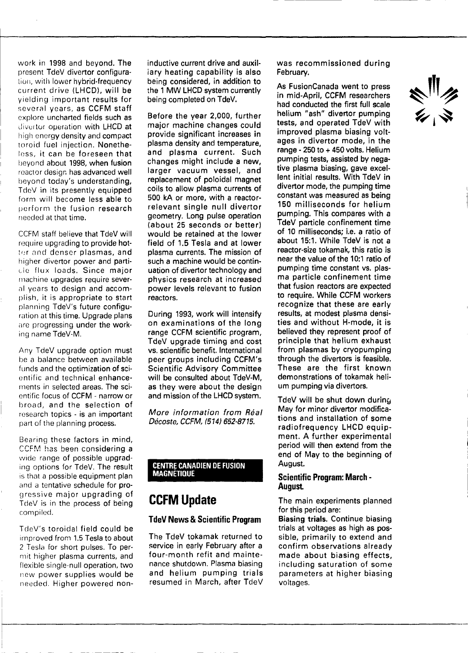work in 1998 and beyond. **The** present TdeV divertor configuration, with lower hybrid-frequency current drive **(LHCD), will be** yielding **important results for** several years, as **CCFM staff** explore uncharted **fields such** as diveitor operation **with LHCD at** high energy density and compact toroid fuel injection. Nonetheless, it can be foreseen **that** beyond about **1998, when fusion** reactor design has advanced **well** beyond today's understanding, TdeV in its presently equipped form will become less able to perform the fusion **research** needed at that time.

CCFM staff believe that TdeV will require upgrading to provide hotter and denser plasmas, and higher divertor power and particle flux loads. Since major machine upgrades require several years to design and accomplish, it is **appropriate to start** planning TdeV's future configuration at this time. Upgrade plans are progressing under the working name TdeV-M.

Any TdeV upgrade option **must** be a balance between **available** funds and the optimization of scientific and technical enhancements in selected areas. The scientific focus of **CCFM** - narrow or broad, and the selection of research topics - is an important part of the planning process.

Bearing these factors in mind, CCFM has been considering a wide range of possible upgrading options for TdeV. **The result** is that a possible equipment plan and a tentative schedule for progressive major upgrading of TdeV is in the process of **being** compiled.

TdeV's toroidal field could be improved from 1.5 Tesla to about 2 Tesla for short pulses. To permit higher plasma currents, and flexible single-null operation, two new power supplies would be needed. Higher powered non**inductive current drive and auxiliary heating capability is also being considered, in addition to the 1 MW LHCD system currently being completed on TdeV.**

**Before the year 2,000, further major machine changes could provide significant increases in plasma density and temperature, and plasma current. Such changes might include a new, larger vacuum vessel, and replacement of poloidal magnet coils to allow plasma currents of 500 kA or more, with a reactorrelevant single null divertor geometry. Long pulse operation (about 25 seconds or better) would be retained at the lower field of 1.5 Tesla and at lower plasma currents. The mission of such a machine would be continuation of divertor technology and physics research at increased power levels relevant to fusion reactors.**

**During 1993, work will intensify on examinations of the long range CCFM scientific program, TdeV upgrade timing and cost vs. scientific benefit. International peer groups including CCFM's Scientific Advisory Committee will be consulted about TdeV-M, as they were about the design and mission of the LHCD system.**

**More information from Real Décoste, CCFM, (514) 652-8715.**

### **CENTRE CANADIEN DE FUSION MAGNÉTIQUE**

# **CCFM Update**

### **TdeV News & Scientific Program**

**The TdeV tokamak returned to service in early February after a four-month refit and maintenance shutdown. Plasma biasing and helium pumping trials resumed in March, after TdeV** **was recommissioned during February.**

**As FusionCanada went to press in mid-April, CCFM researchers had conducted the first full scale helium "ash" divertor pumping tests, and operated TdeV with improved plasma biasing voltages in divertor mode, in the range - 250 to + 450 volts. Helium pumping tests, assisted by negative plasma biasing, gave excellent initial results. With TdeV in divertor mode, the pumping time constant was measured as being 150 milliseconds for helium pumping. This compares with a TdeV particle confinement time of 10 milliseconds; i.e. a ratio of about 15:1. While TdeV is not a reactor-size tokamak, this ratio is near the value of the 10:1 ratio of pumping time constant vs. plasma particle confinement time that fusion reactors are expected to require. While CCFM workers recognize that these are early results, at modest plasma densities and without H-mode, it is believed they represent proof of principle that helium exhaust from plasmas by cryopumping through the divertors is feasible. These are the first known demonstrations of tokamak helium pumping via diversity** 

**TdeV will be shut down during May for minor divertor modifications and installation of some radiofrequency LHCD equipment. A further experimental period will then extend from the end of May to the beginning of August.**

### **Scientific Program: March - August**

**The main experiments planned for this period are:**

**Biasing trials. Continue biasing trials at voltages as high as possible, primarily to extend and confirm observations already made about biasing effects, including saturation of some parameters at higher biasing voltages.**

 $\frac{\sqrt{3}}{2}$